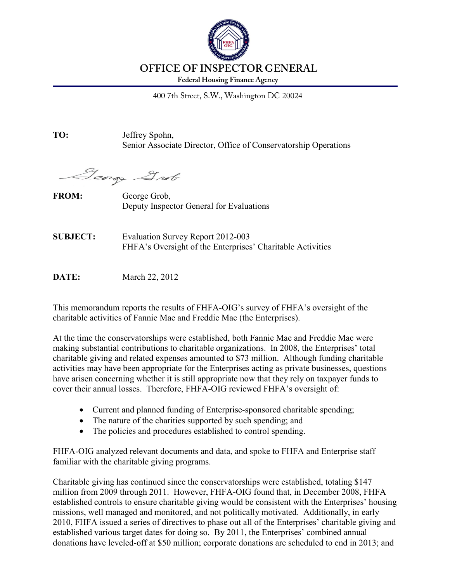

#### **OFFICE OF INSPECTOR GENERAL**

**Federal Housing Finance Agency** 

400 7th Street, S.W., Washington DC 20024

**TO:** Jeffrey Spohn, Senior Associate Director, Office of Conservatorship Operations

George Grob

FROM: George Grob, Deputy Inspector General for Evaluations

**SUBJECT:** Evaluation Survey Report 2012-003 FHFA's Oversight of the Enterprises' Charitable Activities

**DATE:** March 22, 2012

This memorandum reports the results of FHFA-OIG's survey of FHFA's oversight of the charitable activities of Fannie Mae and Freddie Mac (the Enterprises).

At the time the conservatorships were established, both Fannie Mae and Freddie Mac were making substantial contributions to charitable organizations. In 2008, the Enterprises' total charitable giving and related expenses amounted to \$73 million. Although funding charitable activities may have been appropriate for the Enterprises acting as private businesses, questions have arisen concerning whether it is still appropriate now that they rely on taxpayer funds to cover their annual losses. Therefore, FHFA-OIG reviewed FHFA's oversight of:

- Current and planned funding of Enterprise-sponsored charitable spending;
- The nature of the charities supported by such spending; and
- The policies and procedures established to control spending.

FHFA-OIG analyzed relevant documents and data, and spoke to FHFA and Enterprise staff familiar with the charitable giving programs.

Charitable giving has continued since the conservatorships were established, totaling \$147 million from 2009 through 2011. However, FHFA-OIG found that, in December 2008, FHFA established controls to ensure charitable giving would be consistent with the Enterprises' housing missions, well managed and monitored, and not politically motivated. Additionally, in early 2010, FHFA issued a series of directives to phase out all of the Enterprises' charitable giving and established various target dates for doing so. By 2011, the Enterprises' combined annual donations have leveled-off at \$50 million; corporate donations are scheduled to end in 2013; and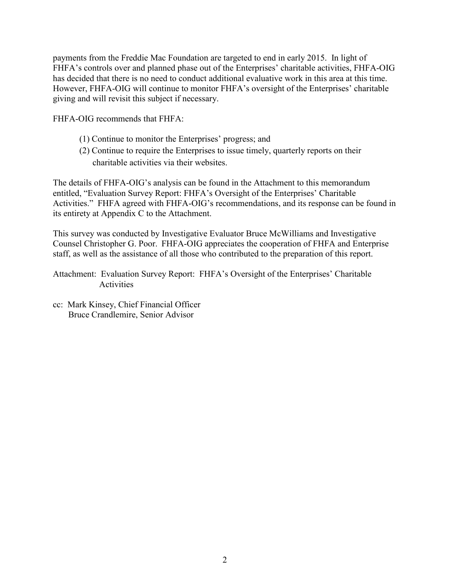payments from the Freddie Mac Foundation are targeted to end in early 2015. In light of FHFA's controls over and planned phase out of the Enterprises' charitable activities, FHFA-OIG has decided that there is no need to conduct additional evaluative work in this area at this time. However, FHFA-OIG will continue to monitor FHFA's oversight of the Enterprises' charitable giving and will revisit this subject if necessary.

FHFA-OIG recommends that FHFA:

- (1) Continue to monitor the Enterprises' progress; and
- (2) Continue to require the Enterprises to issue timely, quarterly reports on their charitable activities via their websites.

The details of FHFA-OIG's analysis can be found in the Attachment to this memorandum entitled, "Evaluation Survey Report: FHFA's Oversight of the Enterprises' Charitable Activities." FHFA agreed with FHFA-OIG's recommendations, and its response can be found in its entirety at Appendix C to the Attachment.

This survey was conducted by Investigative Evaluator Bruce McWilliams and Investigative Counsel Christopher G. Poor. FHFA-OIG appreciates the cooperation of FHFA and Enterprise staff, as well as the assistance of all those who contributed to the preparation of this report.

Attachment:Evaluation Survey Report: FHFA's Oversight of the Enterprises' Charitable **Activities** 

cc: Mark Kinsey, Chief Financial Officer Bruce Crandlemire, Senior Advisor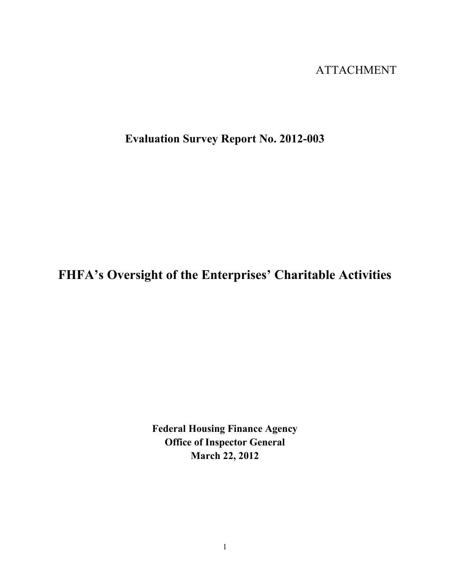## ATTACHMENT

## **Evaluation Survey Report No. 2012-003**

# **FHFA's Oversight of the Enterprises' Charitable Activities**

**Federal Housing Finance Agency Office of Inspector General March 22, 2012**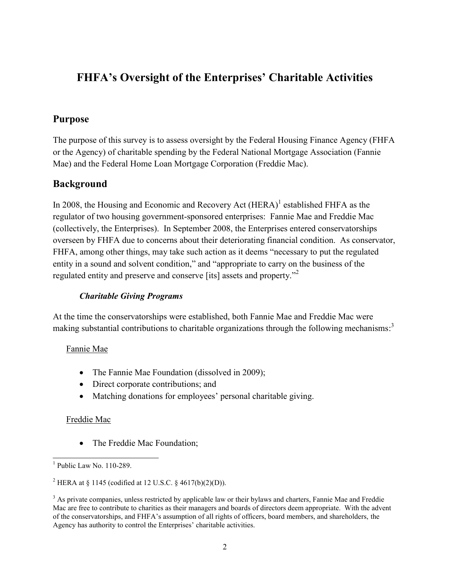## **FHFA's Oversight of the Enterprises' Charitable Activities**

## **Purpose**

The purpose of this survey is to assess oversight by the Federal Housing Finance Agency (FHFA or the Agency) of charitable spending by the Federal National Mortgage Association (Fannie Mae) and the Federal Home Loan Mortgage Corporation (Freddie Mac).

### **Background**

In 2008, the Housing and Economic and Recovery Act  $(HERA)^1$  established FHFA as the regulator of two housing government-sponsored enterprises: Fannie Mae and Freddie Mac (collectively, the Enterprises). In September 2008, the Enterprises entered conservatorships overseen by FHFA due to concerns about their deteriorating financial condition. As conservator, FHFA, among other things, may take such action as it deems "necessary to put the regulated entity in a sound and solvent condition," and "appropriate to carry on the business of the regulated entity and preserve and conserve [its] assets and property."<sup>2</sup>

#### *Charitable Giving Programs*

At the time the conservatorships were established, both Fannie Mae and Freddie Mac were making substantial contributions to charitable organizations through the following mechanisms:<sup>3</sup>

#### Fannie Mae

- The Fannie Mae Foundation (dissolved in 2009);
- Direct corporate contributions; and
- Matching donations for employees' personal charitable giving.

#### Freddie Mac

• The Freddie Mac Foundation;

<sup>&</sup>lt;sup>1</sup> Public Law No. 110-289.

<sup>&</sup>lt;sup>2</sup> HERA at § 1145 (codified at 12 U.S.C. § 4617(b)(2)(D)).

<sup>&</sup>lt;sup>3</sup> As private companies, unless restricted by applicable law or their bylaws and charters, Fannie Mae and Freddie Mac are free to contribute to charities as their managers and boards of directors deem appropriate. With the advent of the conservatorships, and FHFA's assumption of all rights of officers, board members, and shareholders, the Agency has authority to control the Enterprises' charitable activities.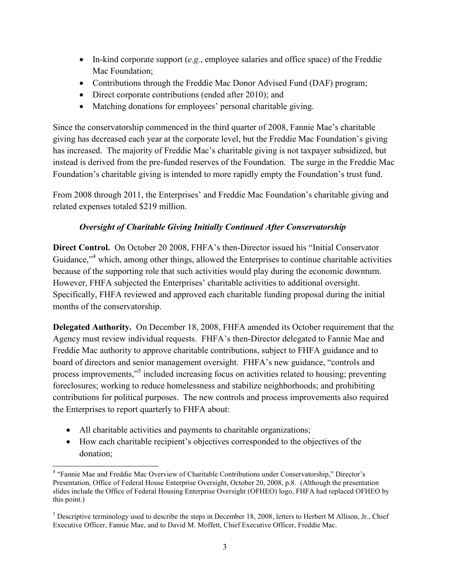- In-kind corporate support (*e.g.*, employee salaries and office space) of the Freddie Mac Foundation;
- Contributions through the Freddie Mac Donor Advised Fund (DAF) program;
- Direct corporate contributions (ended after 2010); and
- Matching donations for employees' personal charitable giving.

Since the conservatorship commenced in the third quarter of 2008, Fannie Mae's charitable giving has decreased each year at the corporate level, but the Freddie Mac Foundation's giving has increased. The majority of Freddie Mac's charitable giving is not taxpayer subsidized, but instead is derived from the pre-funded reserves of the Foundation. The surge in the Freddie Mac Foundation's charitable giving is intended to more rapidly empty the Foundation's trust fund.

From 2008 through 2011, the Enterprises' and Freddie Mac Foundation's charitable giving and related expenses totaled \$219 million.

#### *Oversight of Charitable Giving Initially Continued After Conservatorship*

**Direct Control.** On October 20 2008, FHFA's then-Director issued his "Initial Conservator Guidance,"<sup>4</sup> which, among other things, allowed the Enterprises to continue charitable activities because of the supporting role that such activities would play during the economic downturn. However, FHFA subjected the Enterprises' charitable activities to additional oversight. Specifically, FHFA reviewed and approved each charitable funding proposal during the initial months of the conservatorship.

**Delegated Authority.** On December 18, 2008, FHFA amended its October requirement that the Agency must review individual requests. FHFA's then-Director delegated to Fannie Mae and Freddie Mac authority to approve charitable contributions, subject to FHFA guidance and to board of directors and senior management oversight. FHFA's new guidance, "controls and process improvements,"<sup>5</sup> included increasing focus on activities related to housing; preventing foreclosures; working to reduce homelessness and stabilize neighborhoods; and prohibiting contributions for political purposes. The new controls and process improvements also required the Enterprises to report quarterly to FHFA about:

- All charitable activities and payments to charitable organizations;
- How each charitable recipient's objectives corresponded to the objectives of the donation;

 4 "Fannie Mae and Freddie Mac Overview of Charitable Contributions under Conservatorship," Director's Presentation, Office of Federal House Enterprise Oversight, October 20, 2008, p.8. (Although the presentation slides include the Office of Federal Housing Enterprise Oversight (OFHEO) logo, FHFA had replaced OFHEO by this point.)

<sup>&</sup>lt;sup>5</sup> Descriptive terminology used to describe the steps in December 18, 2008, letters to Herbert M Allison, Jr., Chief Executive Officer, Fannie Mae, and to David M. Moffett, Chief Executive Officer, Freddie Mac.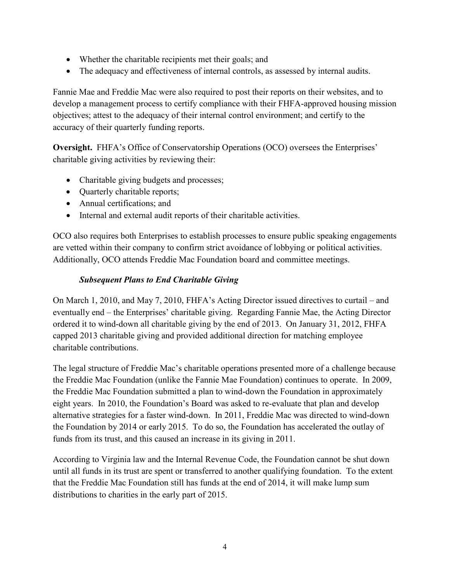- Whether the charitable recipients met their goals; and
- The adequacy and effectiveness of internal controls, as assessed by internal audits.

Fannie Mae and Freddie Mac were also required to post their reports on their websites, and to develop a management process to certify compliance with their FHFA-approved housing mission objectives; attest to the adequacy of their internal control environment; and certify to the accuracy of their quarterly funding reports.

**Oversight.** FHFA's Office of Conservatorship Operations (OCO) oversees the Enterprises' charitable giving activities by reviewing their:

- Charitable giving budgets and processes;
- Quarterly charitable reports;
- Annual certifications: and
- Internal and external audit reports of their charitable activities.

OCO also requires both Enterprises to establish processes to ensure public speaking engagements are vetted within their company to confirm strict avoidance of lobbying or political activities. Additionally, OCO attends Freddie Mac Foundation board and committee meetings.

#### *Subsequent Plans to End Charitable Giving*

On March 1, 2010, and May 7, 2010, FHFA's Acting Director issued directives to curtail – and eventually end – the Enterprises' charitable giving. Regarding Fannie Mae, the Acting Director ordered it to wind-down all charitable giving by the end of 2013. On January 31, 2012, FHFA capped 2013 charitable giving and provided additional direction for matching employee charitable contributions.

The legal structure of Freddie Mac's charitable operations presented more of a challenge because the Freddie Mac Foundation (unlike the Fannie Mae Foundation) continues to operate. In 2009, the Freddie Mac Foundation submitted a plan to wind-down the Foundation in approximately eight years. In 2010, the Foundation's Board was asked to re-evaluate that plan and develop alternative strategies for a faster wind-down. In 2011, Freddie Mac was directed to wind-down the Foundation by 2014 or early 2015. To do so, the Foundation has accelerated the outlay of funds from its trust, and this caused an increase in its giving in 2011.

According to Virginia law and the Internal Revenue Code, the Foundation cannot be shut down until all funds in its trust are spent or transferred to another qualifying foundation. To the extent that the Freddie Mac Foundation still has funds at the end of 2014, it will make lump sum distributions to charities in the early part of 2015.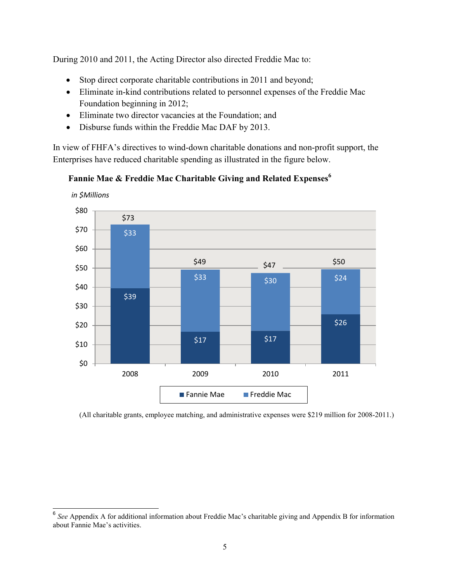During 2010 and 2011, the Acting Director also directed Freddie Mac to:

- Stop direct corporate charitable contributions in 2011 and beyond;
- Eliminate in-kind contributions related to personnel expenses of the Freddie Mac Foundation beginning in 2012;
- Eliminate two director vacancies at the Foundation; and
- Disburse funds within the Freddie Mac DAF by 2013.

In view of FHFA's directives to wind-down charitable donations and non-profit support, the Enterprises have reduced charitable spending as illustrated in the figure below.

**Fannie Mae & Freddie Mac Charitable Giving and Related Expenses<sup>6</sup>**



(All charitable grants, employee matching, and administrative expenses were \$219 million for 2008-2011.)

<sup>&</sup>lt;sup>6</sup> See Appendix A for additional information about Freddie Mac's charitable giving and Appendix B for information about Fannie Mae's activities.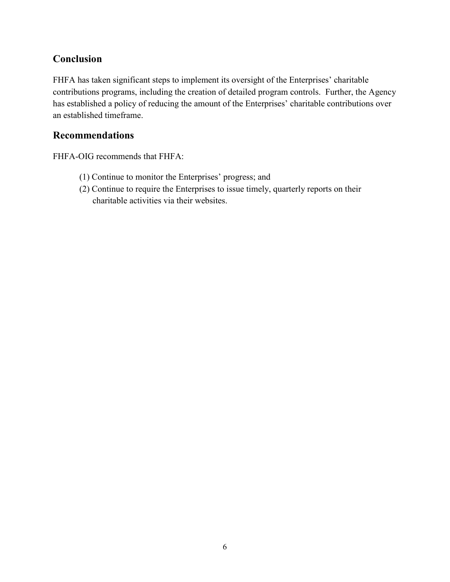### **Conclusion**

FHFA has taken significant steps to implement its oversight of the Enterprises' charitable contributions programs, including the creation of detailed program controls. Further, the Agency has established a policy of reducing the amount of the Enterprises' charitable contributions over an established timeframe.

#### **Recommendations**

FHFA-OIG recommends that FHFA:

- (1) Continue to monitor the Enterprises' progress; and
- (2) Continue to require the Enterprises to issue timely, quarterly reports on their charitable activities via their websites.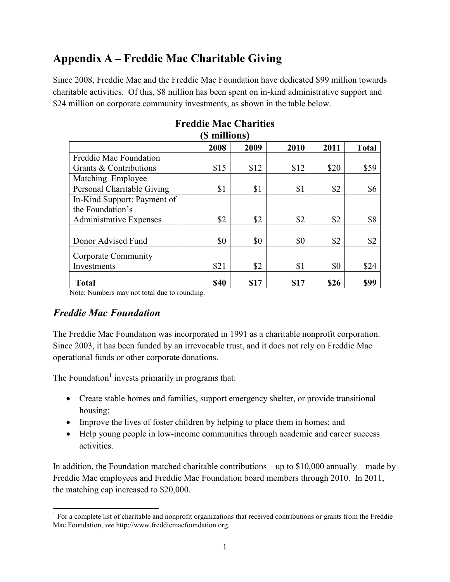## **Appendix A – Freddie Mac Charitable Giving**

Since 2008, Freddie Mac and the Freddie Mac Foundation have dedicated \$99 million towards charitable activities. Of this, \$8 million has been spent on in-kind administrative support and \$24 million on corporate community investments, as shown in the table below.

| э шшиону                       |      |      |      |      |              |  |  |  |  |  |  |
|--------------------------------|------|------|------|------|--------------|--|--|--|--|--|--|
|                                | 2008 | 2009 | 2010 | 2011 | <b>Total</b> |  |  |  |  |  |  |
| Freddie Mac Foundation         |      |      |      |      |              |  |  |  |  |  |  |
| Grants & Contributions         | \$15 | \$12 | \$12 | \$20 | \$59         |  |  |  |  |  |  |
| Matching Employee              |      |      |      |      |              |  |  |  |  |  |  |
| Personal Charitable Giving     | \$1  | \$1  | \$1  | \$2  | \$6          |  |  |  |  |  |  |
| In-Kind Support: Payment of    |      |      |      |      |              |  |  |  |  |  |  |
| the Foundation's               |      |      |      |      |              |  |  |  |  |  |  |
| <b>Administrative Expenses</b> | \$2  | \$2  | \$2  | \$2  | \$8          |  |  |  |  |  |  |
|                                |      |      |      |      |              |  |  |  |  |  |  |
| Donor Advised Fund             | \$0  | \$0  | \$0  | \$2  | \$2          |  |  |  |  |  |  |
| Corporate Community            |      |      |      |      |              |  |  |  |  |  |  |
| Investments                    | \$21 | \$2  | \$1  | \$0  | \$24         |  |  |  |  |  |  |
| <b>Total</b>                   | \$40 | \$17 | \$17 | \$26 | \$99         |  |  |  |  |  |  |

#### **Freddie Mac Charities (\$ millions)**

Note: Numbers may not total due to rounding.

## *Freddie Mac Foundation*

The Freddie Mac Foundation was incorporated in 1991 as a charitable nonprofit corporation. Since 2003, it has been funded by an irrevocable trust, and it does not rely on Freddie Mac operational funds or other corporate donations.

The Foundation<sup>1</sup> invests primarily in programs that:

- Create stable homes and families, support emergency shelter, or provide transitional housing;
- Improve the lives of foster children by helping to place them in homes; and
- Help young people in low-income communities through academic and career success activities.

In addition, the Foundation matched charitable contributions – up to  $$10,000$  annually – made by Freddie Mac employees and Freddie Mac Foundation board members through 2010. In 2011, the matching cap increased to \$20,000.

<sup>&</sup>lt;sup>1</sup> For a complete list of charitable and nonprofit organizations that received contributions or grants from the Freddie Mac Foundation, *see* <http://www.freddiemacfoundation.org>.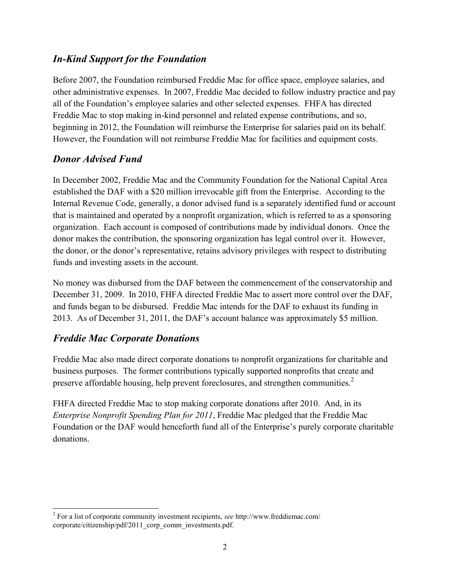### *In-Kind Support for the Foundation*

Before 2007, the Foundation reimbursed Freddie Mac for office space, employee salaries, and other administrative expenses. In 2007, Freddie Mac decided to follow industry practice and pay all of the Foundation's employee salaries and other selected expenses. FHFA has directed Freddie Mac to stop making in-kind personnel and related expense contributions, and so, beginning in 2012, the Foundation will reimburse the Enterprise for salaries paid on its behalf. However, the Foundation will not reimburse Freddie Mac for facilities and equipment costs.

### *Donor Advised Fund*

In December 2002, Freddie Mac and the Community Foundation for the National Capital Area established the DAF with a \$20 million irrevocable gift from the Enterprise. According to the Internal Revenue Code, generally, a donor advised fund is a separately identified fund or account that is maintained and operated by a nonprofit organization, which is referred to as a sponsoring organization. Each account is composed of contributions made by individual donors. Once the donor makes the contribution, the sponsoring organization has legal control over it. However, the donor, or the donor's representative, retains advisory privileges with respect to distributing funds and investing assets in the account.

No money was disbursed from the DAF between the commencement of the conservatorship and December 31, 2009. In 2010, FHFA directed Freddie Mac to assert more control over the DAF, and funds began to be disbursed. Freddie Mac intends for the DAF to exhaust its funding in 2013. As of December 31, 2011, the DAF's account balance was approximately \$5 million.

### *Freddie Mac Corporate Donations*

Freddie Mac also made direct corporate donations to nonprofit organizations for charitable and business purposes. The former contributions typically supported nonprofits that create and preserve affordable housing, help prevent foreclosures, and strengthen communities. $2$ 

FHFA directed Freddie Mac to stop making corporate donations after 2010. And, in its *Enterprise Nonprofit Spending Plan for 2011*, Freddie Mac pledged that the Freddie Mac Foundation or the DAF would henceforth fund all of the Enterprise's purely corporate charitable donations.

 2 For a list of corporate community investment recipients, *see* http://www.freddiemac.com/ [corporate/citizenship/pdf/2011\\_corp\\_comm\\_investments.pdf.](http://www.freddiemac.com/ corporate/citizenship/pdf/2011_corp_comm_investments.pdf)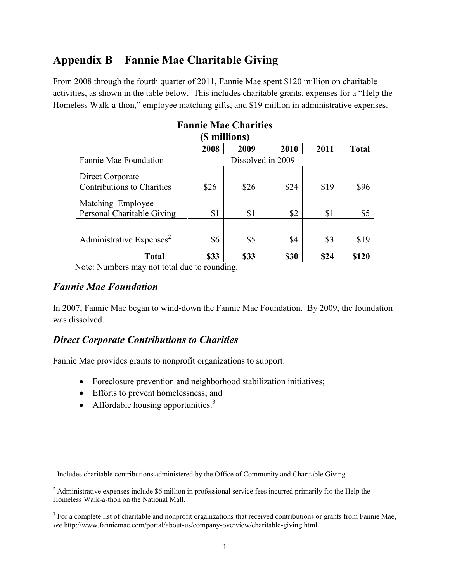## **Appendix B – Fannie Mae Charitable Giving**

From 2008 through the fourth quarter of 2011, Fannie Mae spent \$120 million on charitable activities, as shown in the table below. This includes charitable grants, expenses for a "Help the Homeless Walk-a-thon," employee matching gifts, and \$19 million in administrative expenses.

| <b>Э</b> ШИПОПУ                                       |                   |      |      |      |              |  |  |  |  |  |
|-------------------------------------------------------|-------------------|------|------|------|--------------|--|--|--|--|--|
|                                                       | 2008              | 2009 | 2010 | 2011 | <b>Total</b> |  |  |  |  |  |
| Fannie Mae Foundation                                 |                   |      |      |      |              |  |  |  |  |  |
| Direct Corporate<br><b>Contributions to Charities</b> | \$26 <sup>1</sup> | \$26 | \$24 | \$19 | \$96         |  |  |  |  |  |
| Matching Employee<br>Personal Charitable Giving       | \$1               | \$1  | \$2  | \$1  | \$5          |  |  |  |  |  |
| Administrative Expenses <sup>2</sup>                  | \$6               | \$5  | \$4  | \$3  | \$19         |  |  |  |  |  |
| Total                                                 | \$33              | \$33 | \$30 | \$24 | \$120        |  |  |  |  |  |

#### **Fannie Mae Charities**   $(0, 0)$

Note: Numbers may not total due to rounding.

#### *Fannie Mae Foundation*

In 2007, Fannie Mae began to wind-down the Fannie Mae Foundation. By 2009, the foundation was dissolved.

### *Direct Corporate Contributions to Charities*

Fannie Mae provides grants to nonprofit organizations to support:

- Foreclosure prevention and neighborhood stabilization initiatives;
- Efforts to prevent homelessness; and
- Affordable housing opportunities. $3$

<sup>&</sup>lt;sup>1</sup><br>Includes charitable contributions administered by the Office of Community and Charitable Giving.

<sup>&</sup>lt;sup>2</sup> Administrative expenses include \$6 million in professional service fees incurred primarily for the Help the Homeless Walk-a-thon on the National Mall.

 $3 \text{ For a complete list of charttable and nonprofit organizations that received contributions or grants from Fannie Mac, }$ *see* [http://www.fanniemae.com/portal/about-us/company-overview/charitable-giving.html.](http://www.fanniemae.com/portal/about-us/company-overview/charitable-giving.html)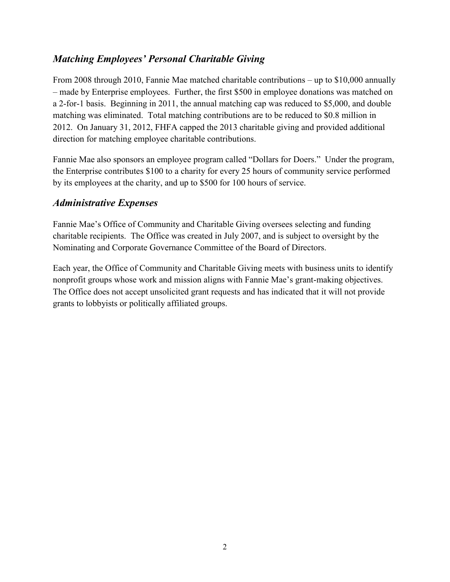## *Matching Employees' Personal Charitable Giving*

From 2008 through 2010, Fannie Mae matched charitable contributions – up to \$10,000 annually – made by Enterprise employees. Further, the first \$500 in employee donations was matched on a 2-for-1 basis. Beginning in 2011, the annual matching cap was reduced to \$5,000, and double matching was eliminated. Total matching contributions are to be reduced to \$0.8 million in 2012. On January 31, 2012, FHFA capped the 2013 charitable giving and provided additional direction for matching employee charitable contributions.

Fannie Mae also sponsors an employee program called "Dollars for Doers." Under the program, the Enterprise contributes \$100 to a charity for every 25 hours of community service performed by its employees at the charity, and up to \$500 for 100 hours of service.

#### *Administrative Expenses*

Fannie Mae's Office of Community and Charitable Giving oversees selecting and funding charitable recipients. The Office was created in July 2007, and is subject to oversight by the Nominating and Corporate Governance Committee of the Board of Directors.

Each year, the Office of Community and Charitable Giving meets with business units to identify nonprofit groups whose work and mission aligns with Fannie Mae's grant-making objectives. The Office does not accept unsolicited grant requests and has indicated that it will not provide grants to lobbyists or politically affiliated groups.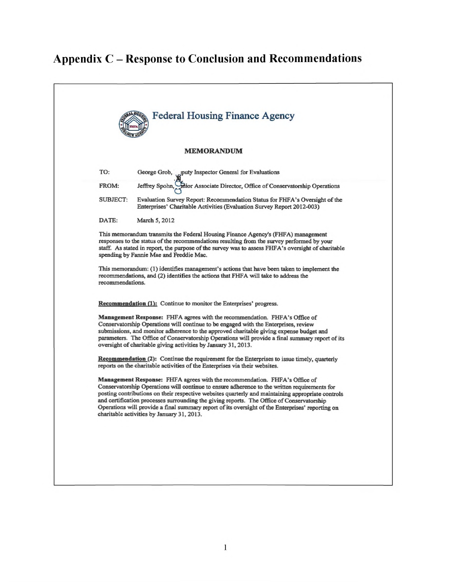# **Appendix C - Response to Conclusion and Recommendations**

|                   |          | <b>Federal Housing Finance Agency</b>                                                                                                                                                                                                                                                                                                                                                                                                                                                                                                 |  |
|-------------------|----------|---------------------------------------------------------------------------------------------------------------------------------------------------------------------------------------------------------------------------------------------------------------------------------------------------------------------------------------------------------------------------------------------------------------------------------------------------------------------------------------------------------------------------------------|--|
| <b>MEMORANDUM</b> |          |                                                                                                                                                                                                                                                                                                                                                                                                                                                                                                                                       |  |
| TO:               |          | George Grob, puty Inspector General for Evaluations                                                                                                                                                                                                                                                                                                                                                                                                                                                                                   |  |
| FROM:             |          | Jeffrey Spohn, Shior Associate Director, Office of Conservatorship Operations                                                                                                                                                                                                                                                                                                                                                                                                                                                         |  |
|                   | SUBJECT: | Evaluation Survey Report: Recommendation Status for FHFA's Oversight of the<br>Enterprises' Charitable Activities (Evaluation Survey Report 2012-003)                                                                                                                                                                                                                                                                                                                                                                                 |  |
| DATE:             |          | March 5, 2012                                                                                                                                                                                                                                                                                                                                                                                                                                                                                                                         |  |
|                   |          | This memorandum transmits the Federal Housing Finance Agency's (FHFA) management<br>responses to the status of the recommendations resulting from the survey performed by your<br>staff. As stated in report, the purpose of the survey was to assess FHFA's oversight of charitable<br>spending by Fannie Mae and Freddie Mac.                                                                                                                                                                                                       |  |
|                   |          | This memorandum: (1) identifies management's actions that have been taken to implement the<br>recommendations, and (2) identifies the actions that FHFA will take to address the<br>recommendations.                                                                                                                                                                                                                                                                                                                                  |  |
|                   |          | <b>Recommendation (1):</b> Continue to monitor the Enterprises' progress.                                                                                                                                                                                                                                                                                                                                                                                                                                                             |  |
|                   |          | <b>Management Response:</b> FHFA agrees with the recommendation. FHFA's Office of<br>Conservatorship Operations will continue to be engaged with the Enterprises, review<br>submissions, and monitor adherence to the approved charitable giving expense budget and<br>parameters. The Office of Conservatorship Operations will provide a final summary report of its<br>oversight of charitable giving activities by January 31, 2013.                                                                                              |  |
|                   |          | Recommendation (2): Continue the requirement for the Enterprises to issue timely, quarterly<br>reports on the charitable activities of the Enterprises via their websites.                                                                                                                                                                                                                                                                                                                                                            |  |
|                   |          | <b>Management Response:</b> FHFA agrees with the recommendation. FHFA's Office of<br>Conservatorship Operations will continue to ensure adherence to the written requirements for<br>posting contributions on their respective websites quarterly and maintaining appropriate controls<br>and certification processes surrounding the giving reports. The Office of Conservatorship<br>Operations will provide a final summary report of its oversight of the Enterprises' reporting on<br>charitable activities by January 31, 2013. |  |
|                   |          |                                                                                                                                                                                                                                                                                                                                                                                                                                                                                                                                       |  |
|                   |          |                                                                                                                                                                                                                                                                                                                                                                                                                                                                                                                                       |  |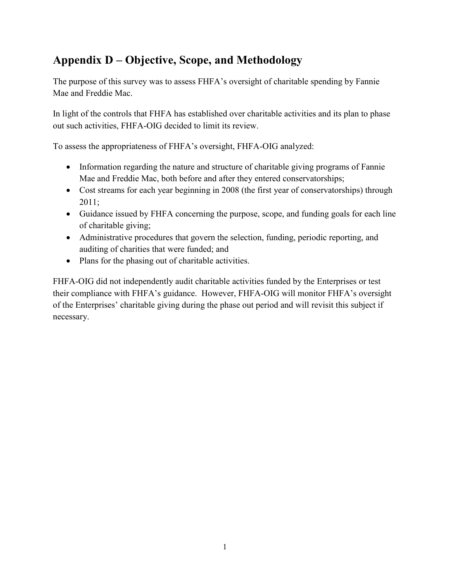## **Appendix D – Objective, Scope, and Methodology**

The purpose of this survey was to assess FHFA's oversight of charitable spending by Fannie Mae and Freddie Mac.

In light of the controls that FHFA has established over charitable activities and its plan to phase out such activities, FHFA-OIG decided to limit its review.

To assess the appropriateness of FHFA's oversight, FHFA-OIG analyzed:

- Information regarding the nature and structure of charitable giving programs of Fannie Mae and Freddie Mac, both before and after they entered conservatorships;
- Cost streams for each year beginning in 2008 (the first year of conservatorships) through 2011;
- Guidance issued by FHFA concerning the purpose, scope, and funding goals for each line of charitable giving;
- Administrative procedures that govern the selection, funding, periodic reporting, and auditing of charities that were funded; and
- Plans for the phasing out of charitable activities.

FHFA-OIG did not independently audit charitable activities funded by the Enterprises or test their compliance with FHFA's guidance. However, FHFA-OIG will monitor FHFA's oversight of the Enterprises' charitable giving during the phase out period and will revisit this subject if necessary.